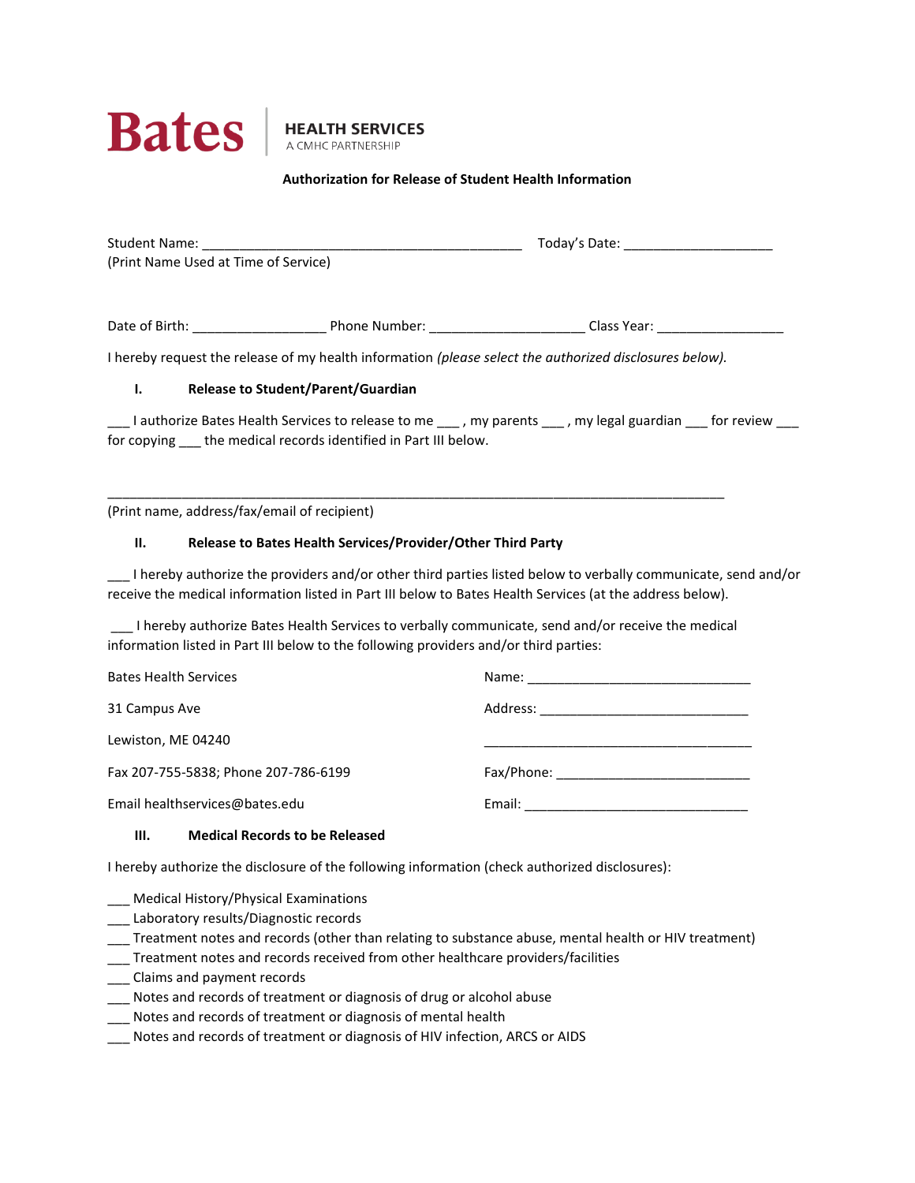

## **Authorization for Release of Student Health Information**

| (Print Name Used at Time of Service)         |                                                                                       |                                                                                                                                                                                                                            |
|----------------------------------------------|---------------------------------------------------------------------------------------|----------------------------------------------------------------------------------------------------------------------------------------------------------------------------------------------------------------------------|
|                                              |                                                                                       |                                                                                                                                                                                                                            |
|                                              |                                                                                       |                                                                                                                                                                                                                            |
|                                              |                                                                                       | I hereby request the release of my health information (please select the authorized disclosures below).                                                                                                                    |
| $\mathbf{I}$ .                               | <b>Release to Student/Parent/Guardian</b>                                             |                                                                                                                                                                                                                            |
|                                              |                                                                                       | ___ I authorize Bates Health Services to release to me ___ , my parents ___ , my legal guardian ___ for review ___                                                                                                         |
|                                              | for copying ____ the medical records identified in Part III below.                    |                                                                                                                                                                                                                            |
|                                              |                                                                                       |                                                                                                                                                                                                                            |
| (Print name, address/fax/email of recipient) |                                                                                       |                                                                                                                                                                                                                            |
| П.                                           | Release to Bates Health Services/Provider/Other Third Party                           |                                                                                                                                                                                                                            |
|                                              |                                                                                       | I hereby authorize the providers and/or other third parties listed below to verbally communicate, send and/or<br>receive the medical information listed in Part III below to Bates Health Services (at the address below). |
|                                              | information listed in Part III below to the following providers and/or third parties: | I hereby authorize Bates Health Services to verbally communicate, send and/or receive the medical                                                                                                                          |
| <b>Bates Health Services</b>                 |                                                                                       |                                                                                                                                                                                                                            |
| 31 Campus Ave                                |                                                                                       |                                                                                                                                                                                                                            |
| Lewiston, ME 04240                           |                                                                                       |                                                                                                                                                                                                                            |
| Fax 207-755-5838; Phone 207-786-6199         |                                                                                       |                                                                                                                                                                                                                            |
| Email healthservices@bates.edu               |                                                                                       |                                                                                                                                                                                                                            |
| Ш.                                           | <b>Medical Records to be Released</b>                                                 |                                                                                                                                                                                                                            |

I hereby authorize the disclosure of the following information (check authorized disclosures):

\_\_\_ Medical History/Physical Examinations

- \_\_\_ Laboratory results/Diagnostic records
- \_\_\_ Treatment notes and records (other than relating to substance abuse, mental health or HIV treatment)
- \_\_\_ Treatment notes and records received from other healthcare providers/facilities
- \_\_\_ Claims and payment records
- \_\_\_ Notes and records of treatment or diagnosis of drug or alcohol abuse
- \_\_\_ Notes and records of treatment or diagnosis of mental health
- \_\_\_ Notes and records of treatment or diagnosis of HIV infection, ARCS or AIDS